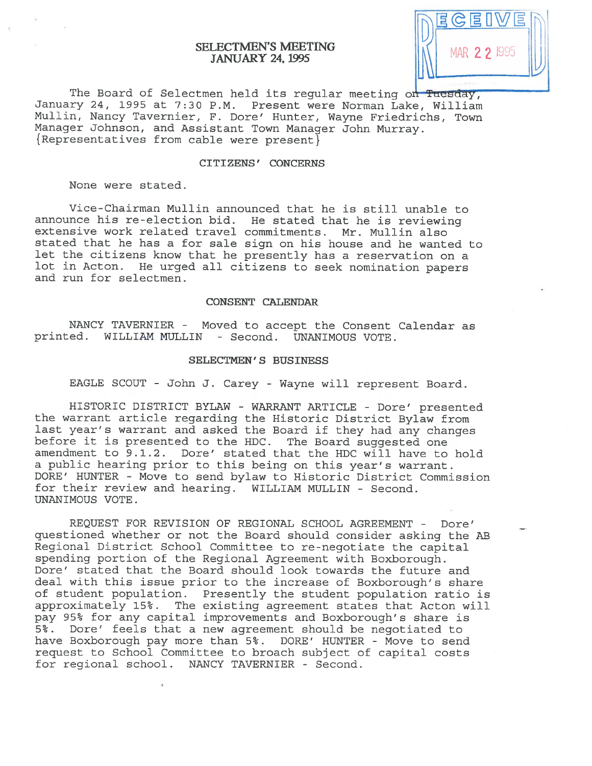# SELECTMEN'S MEETING JANUARY 24, 1995



The Board of Selectmen held its regular meeting on Tuesday, January 24, 1995 at 7:30 P.M. Present were Norman Lake, William Mullin, Nancy Tavernier, F. Dore' Hunter, Wayne Friedrichs, Town Manager Johnson, and Assistant Town Manager John Murray.<br>{Representatives from cable were present}

## CITIZENS' CONCERNS

None were stated.

Vice-Chairman Mullin announced that he is still unable to announce his re-election bid. He stated that he is reviewing extensive work related travel commitments. Mr. Mullin also stated that he has a for sale sign on his house and he wanted to let the citizens know that he presently has <sup>a</sup> reservation on <sup>a</sup> lot in Acton. He urge<sup>d</sup> all citizens to seek nomination papers and run for selectmen.

#### CONSENT CALENIJAR

NANCY TAVERNIER - Moved to accep<sup>t</sup> the Consent Calendar as printed. WILLIAM MULLIN - Second. UNANIMOUS VOTE.

#### SELECTMEN'S BUSINESS

EAGLE SCOUT - John J. Carey - Wayne will represen<sup>t</sup> Board.

HISTORIC DISTRICT BYLAW - WARRANT ARTICLE - Dore' presented the warrant article regarding the Historic District Bylaw from last year's warrant and asked the Board if they had any changes before it is presented to the HDC. The Board suggested one amendment to 9.1.2. Dore' stated that the HDC will have to hold <sup>a</sup> public hearing prior to this being on this year's warrant. DORE' HUNTER - Move to send bylaw to Historic District Commission for their review and hearing. WILLIAM MULLIN - Second. UNANIMOUS VOTE.

REQUEST FOR REVISION OF REGIONAL SCHOOL AGREEMENT - Dore' questioned whether or not the Board should consider asking the AB Regional District School Committee to re-negotiate the capital spending portion of the Regional Agreement with Boxborough. Dore' stated that the Board should look towards the future and deal with this issue prior to the increase of Boxborough's share of student population. Presently the student population ratio is approximately 15%. The existing agreemen<sup>t</sup> states that Acton will pay 95% for any capital improvements and Boxborough's share is 5%. Dore' feels that <sup>a</sup> new agreemen<sup>t</sup> should be negotiated to have Boxborough pay more than 5%. DORE' HUNTER - Move to send reques<sup>t</sup> to School Committee to broach subject of capital costs for regional school. NANCY TAVERNIER - Second.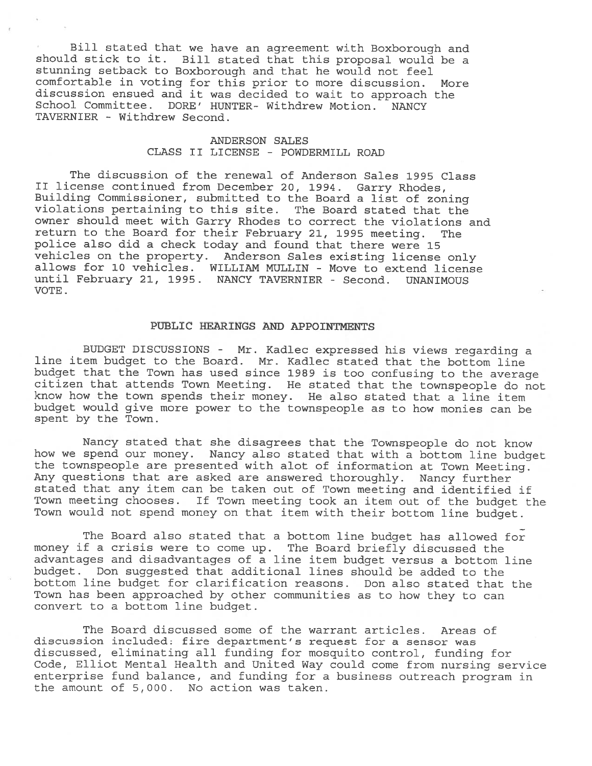Bill stated that we have an agreement with Boxborough and should stick to it. Bill stated that this proposal would be <sup>a</sup> stunning setback to Boxborough and that he would not feel comfortable in voting for this prior to more discussion. More discussion ensued and it was decided to wait to approach the School Committee. DORE' HUNTER- Withdrew Motion. NANCY TAVERNIER - Withdrew Second.

## ANDERSON SALES CLASS II LICENSE - POWDERMILL ROAD

The discussion of the renewal of Anderson Sales 1995 Class II license continued from December 20, 1994. Garry Rhodes, Building Commissioner, submitted to the Board <sup>a</sup> list of zoning violations pertaining to this site. The Board stated that the owner should meet with Garry Rhodes to correct the violations and return to the Board for their February 21, <sup>1995</sup> meeting. The police also did <sup>a</sup> check today and found that there were 15 vehicles on the property. Anderson Sales existing license only allows for 10 vehicles. WILLIAM MULLIN - Move to extend license until February 21, 1995. NANCY TAVERNIER - Second. UNANIMOUS VOTE.

## PUBLIC HEARINGS AND APPOINTMENTS

BUDGET DISCUSSIONS - Mr. Kadlec expressed his views regarding <sup>a</sup> line item budget to the Board. Mr. Kadlec stated that the bottom line budget that the Town has used since <sup>1989</sup> is too confusing to the average citizen that attends Town Meeting. He stated that the townspeople do not know how the town spends their money. He also stated that <sup>a</sup> line item budget would <sup>g</sup>ive more power to the townspeople as to how monies can be spent by the Town.

Nancy stated that she disagrees that the Townspeople do not know how we spend our money. Nancy also stated that with <sup>a</sup> bottom line budget the townspeople are presented with alot of information at Town Meeting. Any questions that are asked are answered thoroughly. Nancy further stated that any item can be taken out of Town meeting and identified if Town meeting chooses. If Town meeting took an item out of the budget the Town would not spend money on that item with their bottom line budget.

The Board also stated that <sup>a</sup> bottom line budget has allowed for money if <sup>a</sup> crisis were to come up. The Board briefly discussed the advantages and disadvantages of <sup>a</sup> line item budget versus <sup>a</sup> bottom line budget. Don suggested that additional lines should be added to the bottom line budget for clarification reasons. Don also stated that the Town has been approached by other communities as to how they to can convert to <sup>a</sup> bottom line budget.

The Board discussed some of the warrant articles. Areas of discussion included: fire department's request for <sup>a</sup> sensor was discussed, eliminating all funding for mosquito control, funding for Code, Elliot Mental Health and United Way could come from nursing service enterprise fund balance, and funding for <sup>a</sup> business outreach program in the amount of 5,000. No action was taken.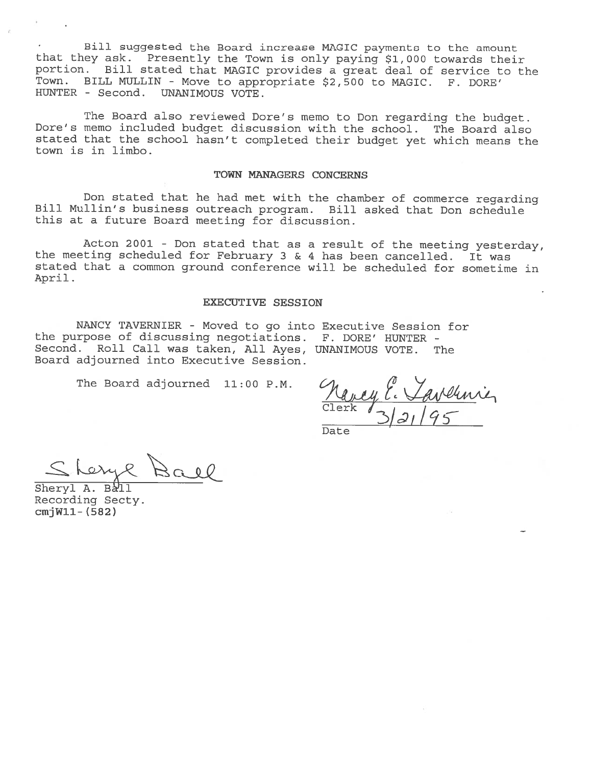Bill suggested the Board increase MAGIC payments to the amount that they ask. Presently the Town is only paying \$1,000 towards their portion. Bill stated that MAGIC provides <sup>a</sup> great deal of service to the Town. BILL MULLIN - Move to appropriate \$2,500 to MAGIC. F. DORE' HUNTER - Second. UNANIMOUS VOTE.

The Board also reviewed Dore's memo to Don regarding the budget. Dore's memo included budget discussion with the school. The Board also stated that the school hasn't completed their budget yet which means the town is in limbo.

### TOWN MANAGERS CONCERNS

Don stated that he had met with the chamber of commerce regarding Bill Mullin's business outreach program. Bill asked that Don schedule this at <sup>a</sup> future Board meeting for discussion.

Acton <sup>2001</sup> - Don stated that as <sup>a</sup> result of the meeting yesterday, the meeting scheduled for February 3 & 4 has been cancelled. It was stated that <sup>a</sup> common ground conference will be scheduled for sometime in April.

#### EXECUTIVE SESSION

NANCY TAVERNIER - Moved to go into Executive Session for the purpose of discussing negotiations. F. DORE' HUNTER - Second. Roll Call was taken, All Ayes, UNANIMOUS VOTE. The Board adjourned into Executive Session.

The Board adjourned 11:00 P.M.

 $Clerk / 3/2/195$ 

Date

Sheryl A. Ball Recording Secty. cmjWll- (582)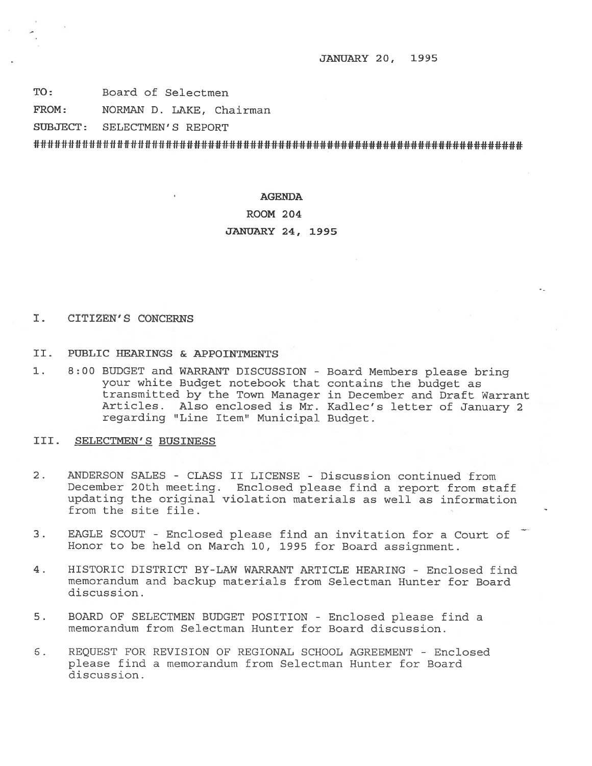JANIJARY 20, 1995

TO: Board of Selectmen

FROM: NORMAN D. LAKE, Chairman

SUBJECT: SELECTMEN'S REPORT

######################################################################

## AGENDA

#### ROOM 204

#### JANUARY 24, 1995

### I. CITIZEN'S CONCERNS

- II. PUBLIC HEARINGS & APPOINTMENTS
- 1. 8:00 BUDGET and WARRANT DISCUSSION Board Members <sup>p</sup>lease bring your white Budget notebook that contains the budget as transmitted by the Town Manager in December and Draft Warrant Articles. Also enclosed is Mr. Kadlec's letter of January <sup>2</sup> regarding "Line Item" Municipal Budget.

#### III. SELECTMEN'S BUSINESS

- 2. ANDERSON SALES CLASS II LICENSE Discussion continued from December 20th meeting. Enclosed <sup>p</sup>lease find <sup>a</sup> repor<sup>t</sup> from staff updating the original violation materials as well as information from the site file.
- 3. EAGLE SCOUT Enclosed please find an invitation for a Court of Honor to be held on March 10, 1995 for Board assignment.
- 4. HISTORIC DISTRICT BY-LAW WARRANT ARTICLE HEARING Enclosed find memorandum and backup materials from Selectman Hunter for Board discussion.
- 5. BOARD OF SELECTMEN BUDGET POSITION Enclosed please find <sup>a</sup> memorandum from Selectman Hunter for Board discussion.
- S. REQUEST FOR REVISION OF REGIONAL SCHOOL AGREEMENT -Enclosed please find <sup>a</sup> memorandum from Selectman Hunter for Board discussion.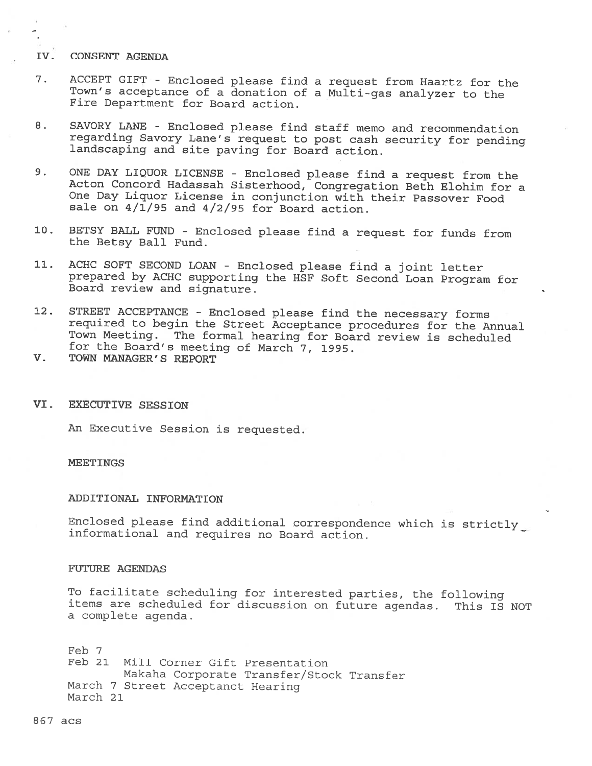## IV. CONSENT AGENDA

- 7. ACCEPT GIFT -Enclosed <sup>p</sup>lease find <sup>a</sup> request from Haartz for the Town's acceptance of <sup>a</sup> donation of <sup>a</sup> Multi-gas analyzer to the Fire Department for Board action.
- 8. SAVORY LANE Enclosed please find staff memo and recommendation regarding Savory Lane's request to post cash security for pending landscaping and site paving for Board action.
- 9. ONE DAY LIQUOR LICENSE Enclosed <sup>p</sup>lease find <sup>a</sup> request from the Acton Concord Hadassab Sisterhood, Congregation Beth Elohim for <sup>a</sup> One Day Liquor License in conjunction with their Passover Food sale on  $4/\overline{1}/95$  and  $4/2/95$  for Board action.
- 10. BETSY BALL FUND Enclosed <sup>p</sup>lease find <sup>a</sup> request for funds from the Betsy Ball Fund.
- 11. ACHC SOFT SECOND LOAN Enclosed <sup>p</sup>lease find <sup>a</sup> joint letter prepared by ACHC supporting the HSF Soft Second Loan Program for Board review and signature.
- 12. STREET ACCEPTANCE Enclosed <sup>p</sup>lease find the necessary forms required to begin the Street Acceptance procedures for the Annual Town Meeting. The formal hearing for Board review is scheduled for the Board's meeting of March 7, 1995.
- V. TOWN MANAGER'S REPORT
- VI. EXECUTIVE SESSION

An Executive Session is requested.

## **MEETINGS**

#### ADDITIONAL INFORMATION

Enclosed please find additional correspondence which is strictly informational and requires no Board action.

## FUTURE AGENDAS

To facilitate scheduling for interested parties, the following items are scheduled for discussion on future agendas. This IS NOT <sup>a</sup> complete agenda.

Feb 7 Feb 21 Mill Corner Gift Presentation Makaha Corporate Transfer/Stock Transfer March <sup>7</sup> Street Acceptanct Hearing March 21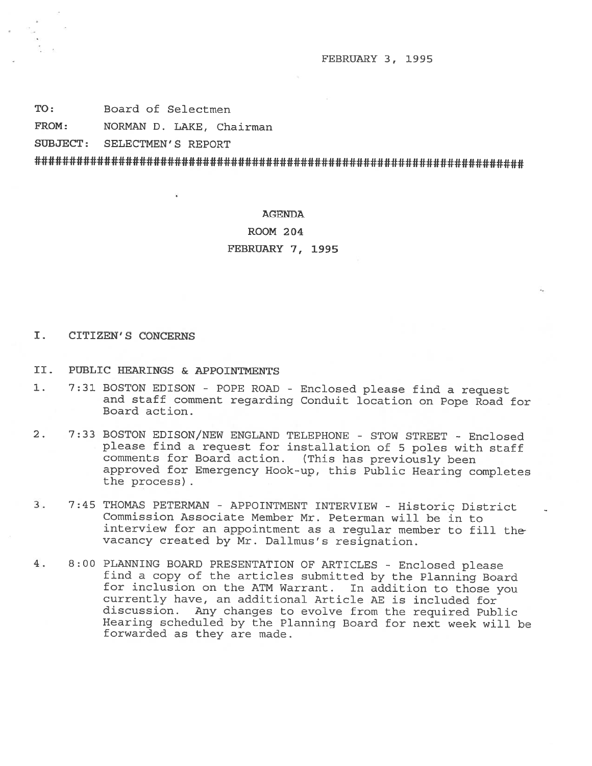FEBRUARY 3, 1995

TO: Board of Selectmen

FROM: NORMAN D. LAKE, Chairman

SUBJECT: SELECTMEN'S REPORT

### AGENDA

ROOM 204

FEBRUARY 7, 1995

## I. CITIZEN'S CONCERNS

- II. PUBLIC HEARINGS & APPOINTMENTS
- 1. 7:31 BOSTON EDISON POPE ROAD Enclosed <sup>p</sup>lease find <sup>a</sup> request and staff comment regarding Conduit location on Pope Road for Board action.
- 2. 7:33 BOSTON EDISON/NEW ENGLAND TELEPHONE STOW STREET Enclosed <sup>p</sup>lease find <sup>a</sup> request for installation of <sup>5</sup> poles with staff comments for Board action. (This has previously been approved for Emergency Hook-up, this Public Hearing completes the process)
- 3. 7:45 THOMAS PETERMAN APPOINTMENT INTERVIEW Historic District Commission Associate Member Mr. Peterman will be in to interview for an appointment as <sup>a</sup> regular member to fill the vacancy created by Mr. Dallmus's resignation.
- 4. 8:00 PLANNING BOARD PRESENTATION OF ARTICLES Enclosed please find <sup>a</sup> copy of the articles submitted by the Planning Board for inclusion on the ATM Warrant. In addition to those you currently have, an additional Article AB is included for discussion. Any changes to evolve from the required Public Hearing scheduled by the Planning Board for next week will be forwarded as they are made.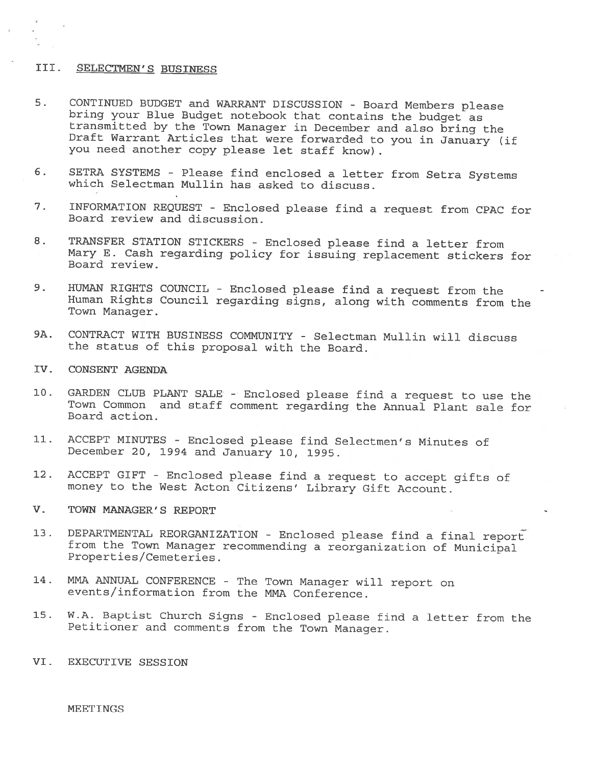# III. SELECTMEN'S BUSINESS

- 5. CONTINUED BUDGET and WARRANT DISCUSSION Board Members please<br>bring your Blue Budget notebook that contains the budget as<br>transmitted by the Town Manager in December and also bring the<br>Draft Warrant Articles that were you need another copy <sup>p</sup>lease let staff know)
- 6. SETRA SYSTEMS Please find enclosed <sup>a</sup> letter from Setra Systems which Selectman Mullin has asked to discuss.
- 7. INFORMATION REQUEST Enclosed <sup>p</sup>lease find <sup>a</sup> request from CPAC for Board review and discussion.
- 8. TRANSFER STATION STICKERS Enclosed <sup>p</sup>lease find <sup>a</sup> letter from Mary E. Cash regarding policy for issuing replacement stickers for Board review.
- 9. HUMAN RIGHTS COUNCIL Enclosed <sup>p</sup>lease find <sup>a</sup> request from the Human Rights Council regarding signs, along with comments from the Town Manager.
- 9A. CONTRACT WITH BUSINESS COMMUNITY Selectman Mullin will discuss the status of this proposal with the Board.
- IV. CONSENT AGENDA
- 10. GARDEN CLUB PLANT SALE Enclosed <sup>p</sup>lease find <sup>a</sup> request to use the Town Common and staff comment regarding the Annual Plant sale for Board action.
- 11. ACCEPT MINUTES Enclosed <sup>p</sup>lease find Selectmen's Minutes of December 20, <sup>1994</sup> and January 10, 1995.
- 12. ACCEPT GIFT Enclosed <sup>p</sup>lease find <sup>a</sup> request to accept <sup>g</sup>ifts of money to the West Acton Citizens' Library Gift Account.
- V. TOWN MANAGER'S REPORT
- 13. DEPARTMENTAL REORGANIZATION Enclosed please find a final report<br>from the Town Manager recommending a reorganization of Municipal<br>Properties/Cemeteries.
- 14. MMA ANNUAL CONFERENCE The Town Manager will report on events/information from the MMA Conference.
- 15. W.A. Baptist Church Signs -Enclosed <sup>p</sup>lease find <sup>a</sup> letter from the Petitioner and comments from the Town Manager.
- VI. EXECUTIVE SESSION

MEETINGS